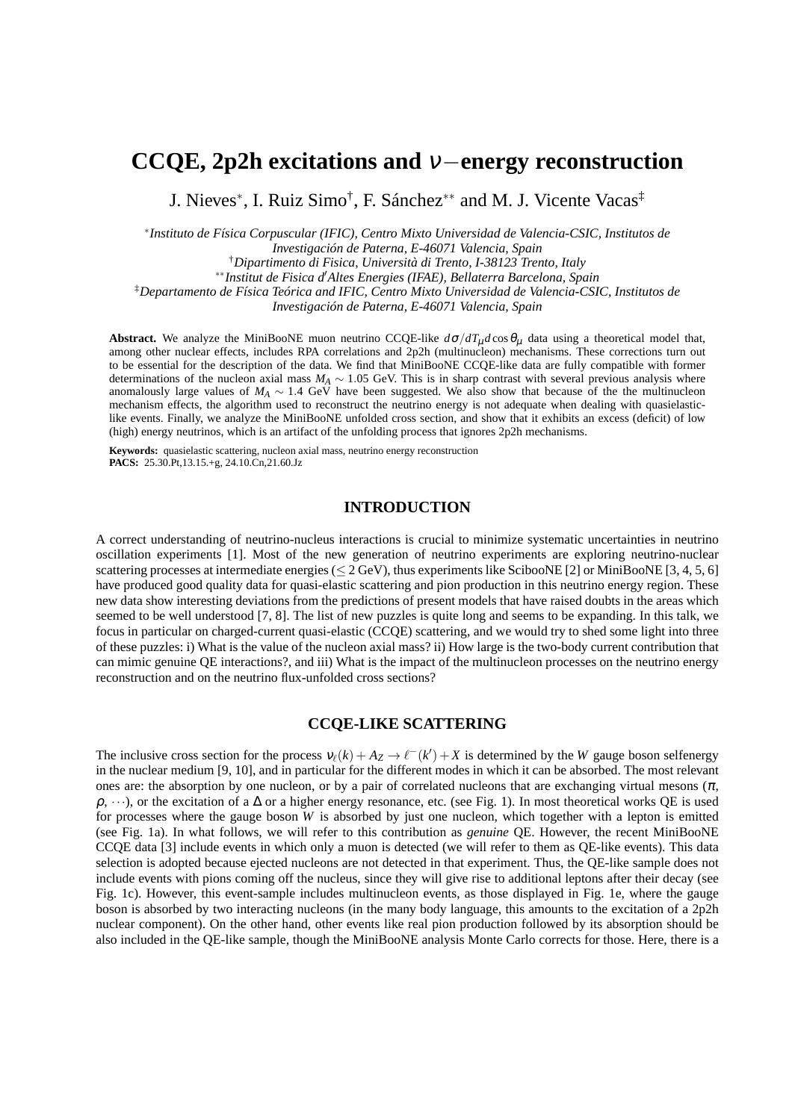# **CCQE, 2p2h excitations and** <sup>ν</sup>−**energy reconstruction**

J. Nieves<sup>∗</sup> , I. Ruiz Simo† , F. Sánchez∗∗ and M. J. Vicente Vacas‡

∗ *Instituto de Física Corpuscular (IFIC), Centro Mixto Universidad de Valencia-CSIC, Institutos de*

*Investigación de Paterna, E-46071 Valencia, Spain*

†*Dipartimento di Fisica, Università di Trento, I-38123 Trento, Italy*

∗∗*Institut de Fisica d*′*Altes Energies (IFAE), Bellaterra Barcelona, Spain*

‡*Departamento de Física Teórica and IFIC, Centro Mixto Universidad de Valencia-CSIC, Institutos de*

*Investigación de Paterna, E-46071 Valencia, Spain*

**Abstract.** We analyze the MiniBooNE muon neutrino CCQE-like  $d\sigma/dT_\mu d\cos\theta_\mu$  data using a theoretical model that, among other nuclear effects, includes RPA correlations and 2p2h (multinucleon) mechanisms. These corrections turn out to be essential for the description of the data. We find that MiniBooNE CCQE-like data are fully compatible with former determinations of the nucleon axial mass  $M_A \sim 1.05$  GeV. This is in sharp contrast with several previous analysis where anomalously large values of *M<sup>A</sup>* ∼ 1.4 GeV have been suggested. We also show that because of the the multinucleon mechanism effects, the algorithm used to reconstruct the neutrino energy is not adequate when dealing with quasielasticlike events. Finally, we analyze the MiniBooNE unfolded cross section, and show that it exhibits an excess (deficit) of low (high) energy neutrinos, which is an artifact of the unfolding process that ignores 2p2h mechanisms.

**Keywords:** quasielastic scattering, nucleon axial mass, neutrino energy reconstruction **PACS:** 25.30.Pt,13.15.+g, 24.10.Cn,21.60.Jz

### **INTRODUCTION**

A correct understanding of neutrino-nucleus interactions is crucial to minimize systematic uncertainties in neutrino oscillation experiments [1]. Most of the new generation of neutrino experiments are exploring neutrino-nuclear scattering processes at intermediate energies ( $\leq$  2 GeV), thus experiments like ScibooNE [2] or MiniBooNE [3, 4, 5, 6] have produced good quality data for quasi-elastic scattering and pion production in this neutrino energy region. These new data show interesting deviations from the predictions of present models that have raised doubts in the areas which seemed to be well understood [7, 8]. The list of new puzzles is quite long and seems to be expanding. In this talk, we focus in particular on charged-current quasi-elastic (CCQE) scattering, and we would try to shed some light into three of these puzzles: i) What is the value of the nucleon axial mass? ii) How large is the two-body current contribution that can mimic genuine QE interactions?, and iii) What is the impact of the multinucleon processes on the neutrino energy reconstruction and on the neutrino flux-unfolded cross sections?

### **CCQE-LIKE SCATTERING**

The inclusive cross section for the process  $v_{\ell}(k) + A_Z \to \ell^-(k') + X$  is determined by the *W* gauge boson selfenergy in the nuclear medium [9, 10], and in particular for the different modes in which it can be absorbed. The most relevant ones are: the absorption by one nucleon, or by a pair of correlated nucleons that are exchanging virtual mesons  $(\pi,$  $\rho, \dots$ ), or the excitation of a  $\Delta$  or a higher energy resonance, etc. (see Fig. 1). In most theoretical works QE is used for processes where the gauge boson *W* is absorbed by just one nucleon, which together with a lepton is emitted (see Fig. 1a). In what follows, we will refer to this contribution as *genuine* QE. However, the recent MiniBooNE CCQE data [3] include events in which only a muon is detected (we will refer to them as QE-like events). This data selection is adopted because ejected nucleons are not detected in that experiment. Thus, the QE-like sample does not include events with pions coming off the nucleus, since they will give rise to additional leptons after their decay (see Fig. 1c). However, this event-sample includes multinucleon events, as those displayed in Fig. 1e, where the gauge boson is absorbed by two interacting nucleons (in the many body language, this amounts to the excitation of a 2p2h nuclear component). On the other hand, other events like real pion production followed by its absorption should be also included in the QE-like sample, though the MiniBooNE analysis Monte Carlo corrects for those. Here, there is a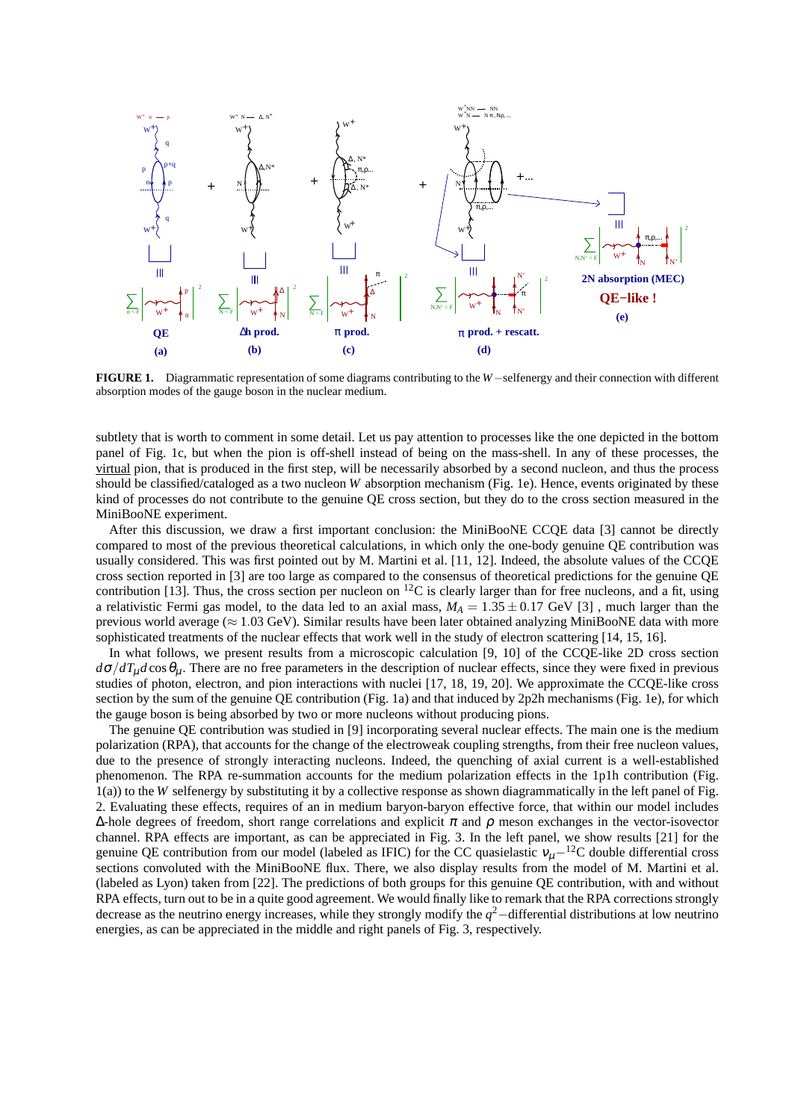

**FIGURE 1.** Diagrammatic representation of some diagrams contributing to the *W*−selfenergy and their connection with different absorption modes of the gauge boson in the nuclear medium.

subtlety that is worth to comment in some detail. Let us pay attention to processes like the one depicted in the bottom panel of Fig. 1c, but when the pion is off-shell instead of being on the mass-shell. In any of these processes, the virtual pion, that is produced in the first step, will be necessarily absorbed by a second nucleon, and thus the process should be classified/cataloged as a two nucleon *W* absorption mechanism (Fig. 1e). Hence, events originated by these kind of processes do not contribute to the genuine QE cross section, but they do to the cross section measured in the MiniBooNE experiment.

After this discussion, we draw a first important conclusion: the MiniBooNE CCQE data [3] cannot be directly compared to most of the previous theoretical calculations, in which only the one-body genuine QE contribution was usually considered. This was first pointed out by M. Martini et al. [11, 12]. Indeed, the absolute values of the CCQE cross section reported in [3] are too large as compared to the consensus of theoretical predictions for the genuine QE contribution [13]. Thus, the cross section per nucleon on  ${}^{12}C$  is clearly larger than for free nucleons, and a fit, using a relativistic Fermi gas model, to the data led to an axial mass,  $M_A = 1.35 \pm 0.17$  GeV [3], much larger than the previous world average ( $\approx 1.03$  GeV). Similar results have been later obtained analyzing MiniBooNE data with more sophisticated treatments of the nuclear effects that work well in the study of electron scattering [14, 15, 16].

In what follows, we present results from a microscopic calculation [9, 10] of the CCQE-like 2D cross section  $d\sigma/dT_\mu d\cos\theta_\mu$ . There are no free parameters in the description of nuclear effects, since they were fixed in previous studies of photon, electron, and pion interactions with nuclei [17, 18, 19, 20]. We approximate the CCQE-like cross section by the sum of the genuine QE contribution (Fig. 1a) and that induced by 2p2h mechanisms (Fig. 1e), for which the gauge boson is being absorbed by two or more nucleons without producing pions.

The genuine QE contribution was studied in [9] incorporating several nuclear effects. The main one is the medium polarization (RPA), that accounts for the change of the electroweak coupling strengths, from their free nucleon values, due to the presence of strongly interacting nucleons. Indeed, the quenching of axial current is a well-established phenomenon. The RPA re-summation accounts for the medium polarization effects in the 1p1h contribution (Fig. 1(a)) to the *W* selfenergy by substituting it by a collective response as shown diagrammatically in the left panel of Fig. 2. Evaluating these effects, requires of an in medium baryon-baryon effective force, that within our model includes  $\Delta$ -hole degrees of freedom, short range correlations and explicit  $\pi$  and  $\rho$  meson exchanges in the vector-isovector channel. RPA effects are important, as can be appreciated in Fig. 3. In the left panel, we show results [21] for the genuine QE contribution from our model (labeled as IFIC) for the CC quasielastic  $v<sub>u</sub>$ −<sup>12</sup>C double differential cross sections convoluted with the MiniBooNE flux. There, we also display results from the model of M. Martini et al. (labeled as Lyon) taken from [22]. The predictions of both groups for this genuine QE contribution, with and without RPA effects, turn out to be in a quite good agreement. We would finally like to remark that the RPA corrections strongly decrease as the neutrino energy increases, while they strongly modify the *q* <sup>2</sup>−differential distributions at low neutrino energies, as can be appreciated in the middle and right panels of Fig. 3, respectively.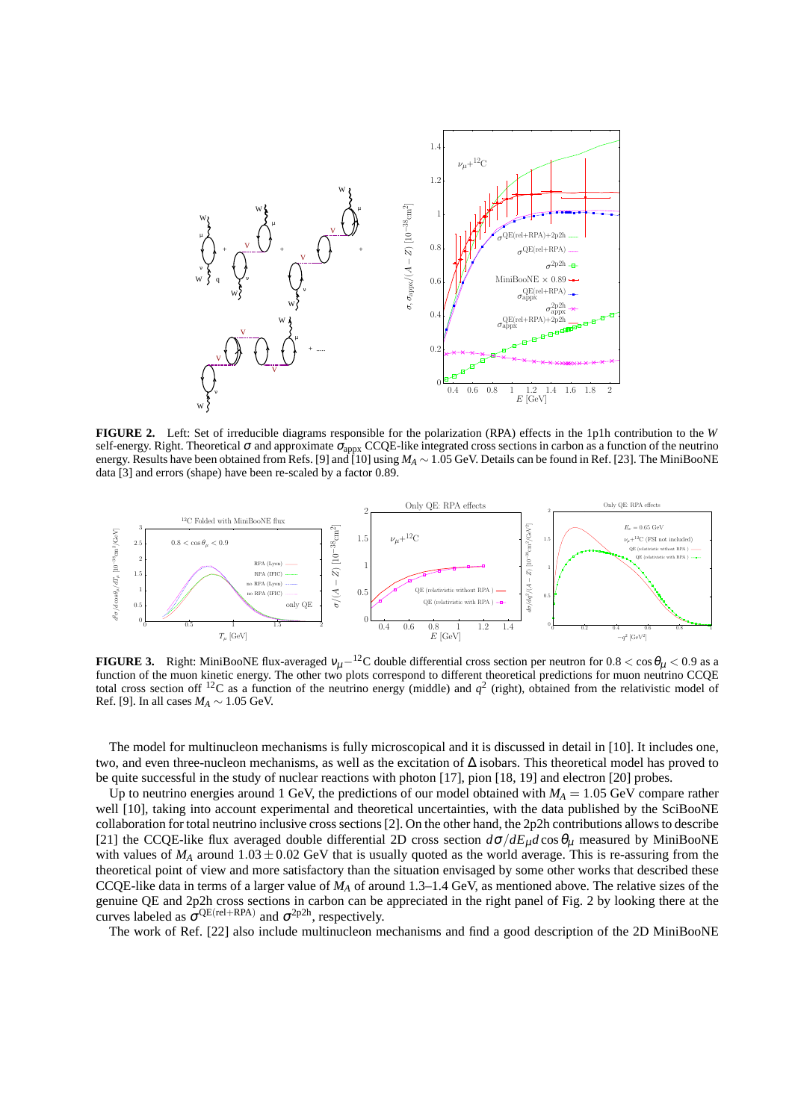

**FIGURE 2.** Left: Set of irreducible diagrams responsible for the polarization (RPA) effects in the 1p1h contribution to the *W* self-energy. Right. Theoretical  $\sigma$  and approximate  $\sigma_{\text{appx}}$  CCQE-like integrated cross sections in carbon as a function of the neutrino energy. Results have been obtained from Refs. [9] and [10] using *M<sup>A</sup>* ∼ 1.05 GeV. Details can be found in Ref. [23]. The MiniBooNE data [3] and errors (shape) have been re-scaled by a factor 0.89.



**FIGURE 3.** Right: MiniBooNE flux-averaged  $v_\mu$ <sup>−12</sup>C double differential cross section per neutron for  $0.8 < \cos \theta_\mu < 0.9$  as a function of the muon kinetic energy. The other two plots correspond to different theoretical predictions for muon neutrino CCQE total cross section off <sup>12</sup>C as a function of the neutrino energy (middle) and  $q^2$  (right), obtained from the relativistic model of Ref. [9]. In all cases  $M_A \sim 1.05$  GeV.

The model for multinucleon mechanisms is fully microscopical and it is discussed in detail in [10]. It includes one, two, and even three-nucleon mechanisms, as well as the excitation of ∆ isobars. This theoretical model has proved to be quite successful in the study of nuclear reactions with photon [17], pion [18, 19] and electron [20] probes.

Up to neutrino energies around 1 GeV, the predictions of our model obtained with  $M_A = 1.05$  GeV compare rather well [10], taking into account experimental and theoretical uncertainties, with the data published by the SciBooNE collaboration for total neutrino inclusive cross sections [2]. On the other hand, the 2p2h contributions allows to describe [21] the CCQE-like flux averaged double differential 2D cross section  $d\sigma/dE_{\mu}d\cos\theta_{\mu}$  measured by MiniBooNE with values of  $M_A$  around  $1.03 \pm 0.02$  GeV that is usually quoted as the world average. This is re-assuring from the theoretical point of view and more satisfactory than the situation envisaged by some other works that described these CCQE-like data in terms of a larger value of *M<sup>A</sup>* of around 1.3–1.4 GeV, as mentioned above. The relative sizes of the genuine QE and 2p2h cross sections in carbon can be appreciated in the right panel of Fig. 2 by looking there at the curves labeled as  $\sigma^{QE(\text{rel}+RPA)}$  and  $\sigma^{2p2h}$ , respectively.

The work of Ref. [22] also include multinucleon mechanisms and find a good description of the 2D MiniBooNE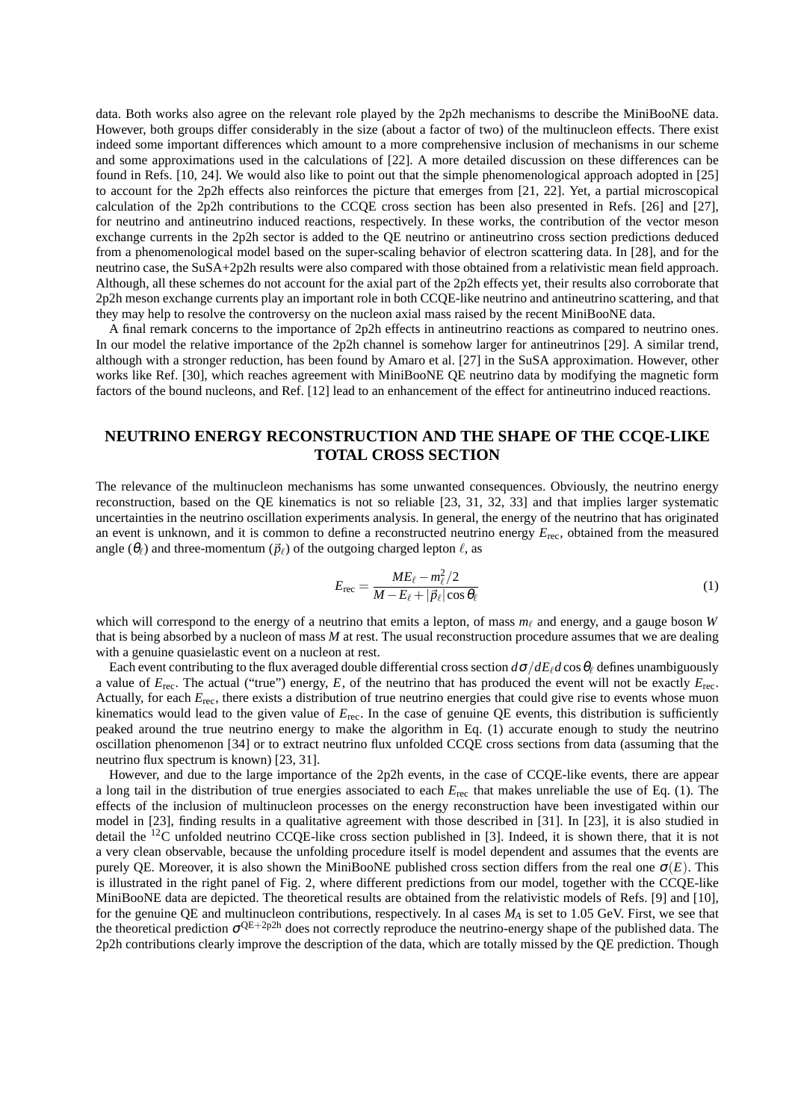data. Both works also agree on the relevant role played by the 2p2h mechanisms to describe the MiniBooNE data. However, both groups differ considerably in the size (about a factor of two) of the multinucleon effects. There exist indeed some important differences which amount to a more comprehensive inclusion of mechanisms in our scheme and some approximations used in the calculations of [22]. A more detailed discussion on these differences can be found in Refs. [10, 24]. We would also like to point out that the simple phenomenological approach adopted in [25] to account for the 2p2h effects also reinforces the picture that emerges from [21, 22]. Yet, a partial microscopical calculation of the 2p2h contributions to the CCQE cross section has been also presented in Refs. [26] and [27], for neutrino and antineutrino induced reactions, respectively. In these works, the contribution of the vector meson exchange currents in the 2p2h sector is added to the QE neutrino or antineutrino cross section predictions deduced from a phenomenological model based on the super-scaling behavior of electron scattering data. In [28], and for the neutrino case, the SuSA+2p2h results were also compared with those obtained from a relativistic mean field approach. Although, all these schemes do not account for the axial part of the 2p2h effects yet, their results also corroborate that 2p2h meson exchange currents play an important role in both CCQE-like neutrino and antineutrino scattering, and that they may help to resolve the controversy on the nucleon axial mass raised by the recent MiniBooNE data.

A final remark concerns to the importance of 2p2h effects in antineutrino reactions as compared to neutrino ones. In our model the relative importance of the 2p2h channel is somehow larger for antineutrinos [29]. A similar trend, although with a stronger reduction, has been found by Amaro et al. [27] in the SuSA approximation. However, other works like Ref. [30], which reaches agreement with MiniBooNE QE neutrino data by modifying the magnetic form factors of the bound nucleons, and Ref. [12] lead to an enhancement of the effect for antineutrino induced reactions.

## **NEUTRINO ENERGY RECONSTRUCTION AND THE SHAPE OF THE CCQE-LIKE TOTAL CROSS SECTION**

The relevance of the multinucleon mechanisms has some unwanted consequences. Obviously, the neutrino energy reconstruction, based on the QE kinematics is not so reliable [23, 31, 32, 33] and that implies larger systematic uncertainties in the neutrino oscillation experiments analysis. In general, the energy of the neutrino that has originated an event is unknown, and it is common to define a reconstructed neutrino energy  $E_{\text{rec}}$ , obtained from the measured angle  $(\theta_\ell)$  and three-momentum  $(\vec{p}_\ell)$  of the outgoing charged lepton  $\ell$ , as

$$
E_{\rm rec} = \frac{ME_{\ell} - m_{\ell}^2/2}{M - E_{\ell} + |\vec{p}_{\ell}| \cos \theta_{\ell}}\tag{1}
$$

which will correspond to the energy of a neutrino that emits a lepton, of mass  $m_\ell$  and energy, and a gauge boson *W* that is being absorbed by a nucleon of mass *M* at rest. The usual reconstruction procedure assumes that we are dealing with a genuine quasielastic event on a nucleon at rest.

Each event contributing to the flux averaged double differential cross section  $d\sigma/dE_{\ell}d\cos\theta_{\ell}$  defines unambiguously a value of  $E_{\text{rec}}$ . The actual ("true") energy, E, of the neutrino that has produced the event will not be exactly  $E_{\text{rec}}$ . Actually, for each  $E_{\text{rec}}$ , there exists a distribution of true neutrino energies that could give rise to events whose muon kinematics would lead to the given value of *E*rec. In the case of genuine QE events, this distribution is sufficiently peaked around the true neutrino energy to make the algorithm in Eq. (1) accurate enough to study the neutrino oscillation phenomenon [34] or to extract neutrino flux unfolded CCQE cross sections from data (assuming that the neutrino flux spectrum is known) [23, 31].

However, and due to the large importance of the 2p2h events, in the case of CCQE-like events, there are appear a long tail in the distribution of true energies associated to each *E*rec that makes unreliable the use of Eq. (1). The effects of the inclusion of multinucleon processes on the energy reconstruction have been investigated within our model in [23], finding results in a qualitative agreement with those described in [31]. In [23], it is also studied in detail the <sup>12</sup>C unfolded neutrino CCQE-like cross section published in [3]. Indeed, it is shown there, that it is not a very clean observable, because the unfolding procedure itself is model dependent and assumes that the events are purely QE. Moreover, it is also shown the MiniBooNE published cross section differs from the real one  $\sigma(E)$ . This is illustrated in the right panel of Fig. 2, where different predictions from our model, together with the CCQE-like MiniBooNE data are depicted. The theoretical results are obtained from the relativistic models of Refs. [9] and [10], for the genuine QE and multinucleon contributions, respectively. In al cases *M<sup>A</sup>* is set to 1.05 GeV. First, we see that the theoretical prediction  $\sigma^{QE+2p2h}$  does not correctly reproduce the neutrino-energy shape of the published data. The 2p2h contributions clearly improve the description of the data, which are totally missed by the QE prediction. Though